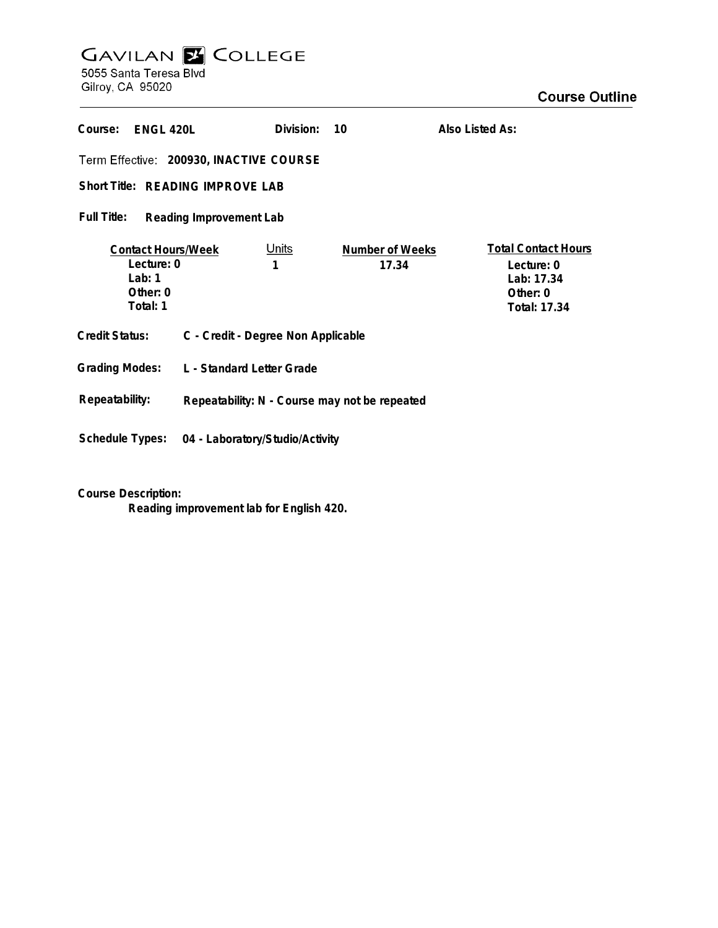## **GAVILAN E COLLEGE**<br>5055 Santa Teresa Blvd Gilroy, CA 95020

**Course Outline** 

| Course:<br>ENGL 420L                                                          |                                               | Division:         | 10                              | Also Listed As:                                                                    |
|-------------------------------------------------------------------------------|-----------------------------------------------|-------------------|---------------------------------|------------------------------------------------------------------------------------|
| Term Effective: 200930, INACTIVE COURSE                                       |                                               |                   |                                 |                                                                                    |
| Short Title: READING IMPROVE LAB                                              |                                               |                   |                                 |                                                                                    |
| Full Title:<br>Reading Improvement Lab                                        |                                               |                   |                                 |                                                                                    |
| <b>Contact Hours/Week</b><br>Lecture: 0<br>Lab: $1$<br>Other: $0$<br>Total: 1 |                                               | <u>Units</u><br>1 | <b>Number of Weeks</b><br>17.34 | <b>Total Contact Hours</b><br>Lecture: 0<br>Lab: 17.34<br>Other: 0<br>Total: 17.34 |
| <b>Credit Status:</b>                                                         | C - Credit - Degree Non Applicable            |                   |                                 |                                                                                    |
| <b>Grading Modes:</b><br>L - Standard Letter Grade                            |                                               |                   |                                 |                                                                                    |
| Repeatability:                                                                | Repeatability: N - Course may not be repeated |                   |                                 |                                                                                    |
| <b>Schedule Types:</b><br>04 - Laboratory/Studio/Activity                     |                                               |                   |                                 |                                                                                    |

**Course Description:**

**Reading improvement lab for English 420.**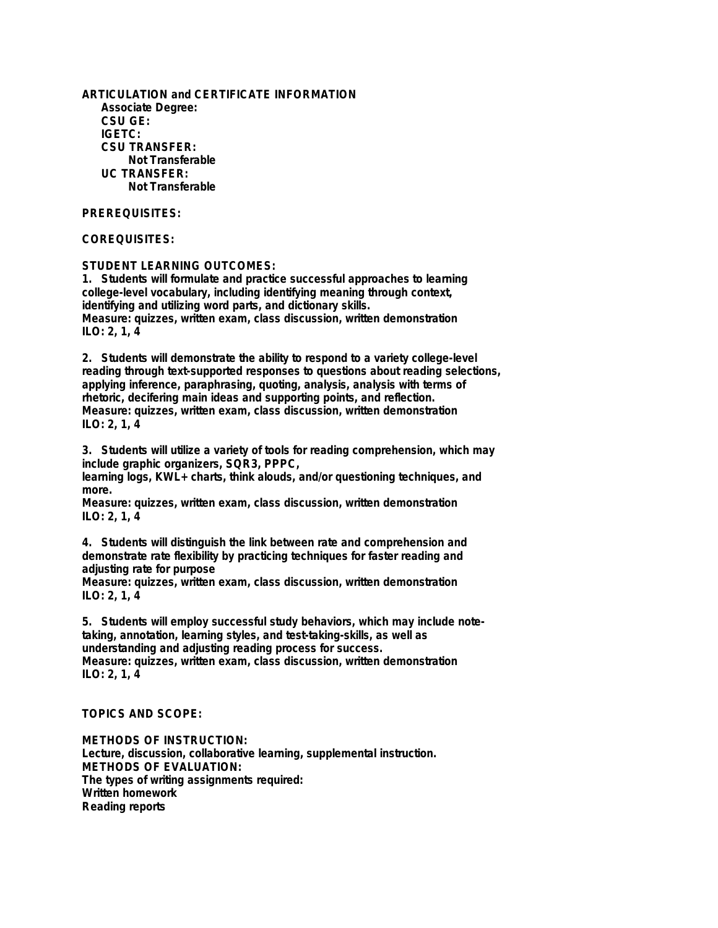**ARTICULATION and CERTIFICATE INFORMATION Associate Degree: CSU GE: IGETC: CSU TRANSFER: Not Transferable UC TRANSFER: Not Transferable**

## **PREREQUISITES:**

## **COREQUISITES:**

**STUDENT LEARNING OUTCOMES:**

**1. Students will formulate and practice successful approaches to learning college-level vocabulary, including identifying meaning through context, identifying and utilizing word parts, and dictionary skills. Measure: quizzes, written exam, class discussion, written demonstration ILO: 2, 1, 4**

**2. Students will demonstrate the ability to respond to a variety college-level reading through text-supported responses to questions about reading selections, applying inference, paraphrasing, quoting, analysis, analysis with terms of rhetoric, decifering main ideas and supporting points, and reflection. Measure: quizzes, written exam, class discussion, written demonstration ILO: 2, 1, 4**

**3. Students will utilize a variety of tools for reading comprehension, which may include graphic organizers, SQR3, PPPC,**

**learning logs, KWL+ charts, think alouds, and/or questioning techniques, and more.**

**Measure: quizzes, written exam, class discussion, written demonstration ILO: 2, 1, 4**

**4. Students will distinguish the link between rate and comprehension and demonstrate rate flexibility by practicing techniques for faster reading and adjusting rate for purpose**

**Measure: quizzes, written exam, class discussion, written demonstration ILO: 2, 1, 4**

**5. Students will employ successful study behaviors, which may include notetaking, annotation, learning styles, and test-taking-skills, as well as understanding and adjusting reading process for success. Measure: quizzes, written exam, class discussion, written demonstration ILO: 2, 1, 4**

**TOPICS AND SCOPE:**

**METHODS OF INSTRUCTION: Lecture, discussion, collaborative learning, supplemental instruction. METHODS OF EVALUATION: The types of writing assignments required: Written homework Reading reports**